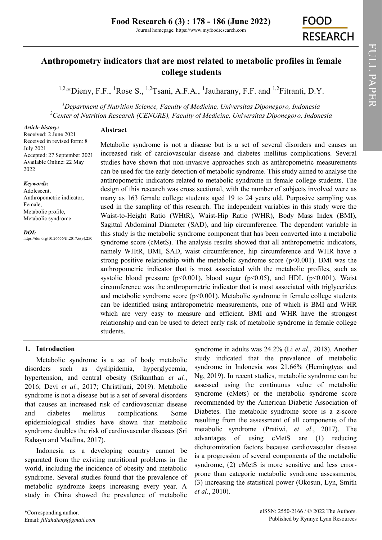# **Anthropometry indicators that are most related to metabolic profiles in female college students**

<sup>1,2,\*</sup>[Dieny, F.F.,](https://orcid.org/0000-0001-6071-8901) <sup>1</sup>[Rose S.,](https://orcid.org/0000-0002-1898-1842) <sup>1,2</sup>[Tsani, A.F.A.,](https://orcid.org/0000-0002-3407-5188) <sup>1</sup>[Jauharany, F.F.](https://orcid.org/0000-0001-9471-9419) and <sup>1,2</sup>[Fitranti, D.Y.](https://orcid.org/0000-0002-1656-9563)

*<sup>1</sup>Department of Nutrition Science, Faculty of Medicine, Universitas Diponegoro, Indonesia <sup>2</sup>Center of Nutrition Research (CENURE), Faculty of Medicine, Universitas Diponegoro, Indonesia*

## **Abstract**

*Article history:* Received: 2 June 2021 Received in revised form: 8 July 2021 Accepted: 27 September 2021 Available Online: 22 May 2022

## *Keywords:*

Adolescent, Anthropometric indicator, Female, Metabolic profile, Metabolic syndrome

#### *DOI:*

https://doi.org/10.26656/fr.2017.6(3).250

Metabolic syndrome is not a disease but is a set of several disorders and causes an increased risk of cardiovascular disease and diabetes mellitus complications. Several studies have shown that non-invasive approaches such as anthropometric measurements can be used for the early detection of metabolic syndrome. This study aimed to analyse the anthropometric indicators related to metabolic syndrome in female college students. The design of this research was cross sectional, with the number of subjects involved were as many as 163 female college students aged 19 to 24 years old. Purposive sampling was used in the sampling of this research. The independent variables in this study were the Waist-to-Height Ratio (WHtR), Waist-Hip Ratio (WHR), Body Mass Index (BMI), Sagittal Abdominal Diameter (SAD), and hip circumference. The dependent variable in this study is the metabolic syndrome component that has been converted into a metabolic syndrome score (cMetS). The analysis results showed that all anthropometric indicators, namely WHtR, BMI, SAD, waist circumference, hip circumference and WHR have a strong positive relationship with the metabolic syndrome score ( $p<0.001$ ). BMI was the anthropometric indicator that is most associated with the metabolic profiles, such as systolic blood pressure ( $p<0.001$ ), blood sugar ( $p<0.05$ ), and HDL ( $p<0.001$ ). Waist circumference was the anthropometric indicator that is most associated with triglycerides and metabolic syndrome score  $(p<0.001)$ . Metabolic syndrome in female college students can be identified using anthropometric measurements, one of which is BMI and WHR which are very easy to measure and efficient. BMI and WHR have the strongest relationship and can be used to detect early risk of metabolic syndrome in female college students.

## **1. Introduction**

Metabolic syndrome is a set of body metabolic disorders such as dyslipidemia, hyperglycemia, hypertension, and central obesity (Srikanthan *et al.*, 2016; Devi *et al.*, 2017; Christijani, 2019). Metabolic syndrome is not a disease but is a set of several disorders that causes an increased risk of cardiovascular disease and diabetes mellitus complications. Some epidemiological studies have shown that metabolic syndrome doubles the risk of cardiovascular diseases (Sri Rahayu and Maulina, 2017).

Indonesia as a developing country cannot be separated from the existing nutritional problems in the world, including the incidence of obesity and metabolic syndrome. Several studies found that the prevalence of metabolic syndrome keeps increasing every year. A study in China showed the prevalence of metabolic

study indicated that the prevalence of metabolic syndrome in Indonesia was 21.66% (Herningtyas and Ng, 2019). In recent studies, metabolic syndrome can be assessed using the continuous value of metabolic syndrome (cMets) or the metabolic syndrome score recommended by the American Diabetic Association of Diabetes. The metabolic syndrome score is a z-score resulting from the assessment of all components of the metabolic syndrome (Pratiwi, *et al*., 2017). The advantages of using cMetS are (1) reducing dichotomization factors because cardiovascular disease is a progression of several components of the metabolic syndrome, (2) cMetS is more sensitive and less errorprone than categoric metabolic syndrome assessments, (3) increasing the statistical power (Okosun, Lyn, Smith *et al.*, 2010).

syndrome in adults was 24.2% (Li *et al.*, 2018). Another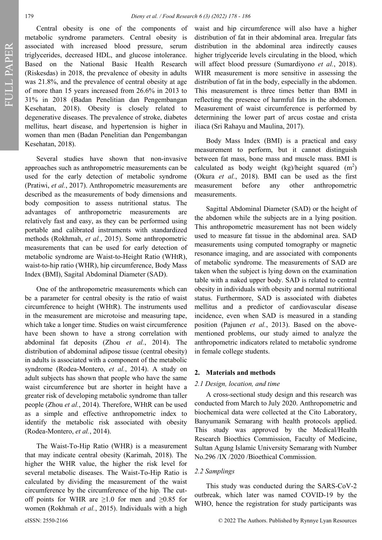Central obesity is one of the components of metabolic syndrome parameters. Central obesity is associated with increased blood pressure, serum triglycerides, decreased HDL, and glucose intolerance. Based on the National Basic Health Research (Riskesdas) in 2018, the prevalence of obesity in adults was 21.8%, and the prevalence of central obesity at age of more than 15 years increased from 26.6% in 2013 to 31% in 2018 (Badan Penelitian dan Pengembangan Kesehatan, 2018). Obesity is closely related to degenerative diseases. The prevalence of stroke, diabetes mellitus, heart disease, and hypertension is higher in women than men (Badan Penelitian dan Pengembangan Kesehatan, 2018).

Several studies have shown that non-invasive approaches such as anthropometric measurements can be used for the early detection of metabolic syndrome (Pratiwi, *et al.*, 2017). Anthropometric measurements are described as the measurements of body dimensions and body composition to assess nutritional status. The advantages of anthropometric measurements are relatively fast and easy, as they can be performed using portable and calibrated instruments with standardized methods (Rokhmah, *et al.*, 2015). Some anthropometric measurements that can be used for early detection of metabolic syndrome are Waist-to-Height Ratio (WHtR), waist-to-hip ratio (WHR), hip circumference, Body Mass Index (BMI), Sagital Abdominal Diameter (SAD).

One of the anthropometric measurements which can be a parameter for central obesity is the ratio of waist circumference to height (WHtR). The instruments used in the measurement are microtoise and measuring tape, which take a longer time. Studies on waist circumference have been shown to have a strong correlation with abdominal fat deposits (Zhou *et al.*, 2014). The distribution of abdominal adipose tissue (central obesity) in adults is associated with a component of the metabolic syndrome (Rodea-Montero, *et al.*, 2014). A study on adult subjects has shown that people who have the same waist circumference but are shorter in height have a greater risk of developing metabolic syndrome than taller people (Zhou *et al.*, 2014). Therefore, WHtR can be used as a simple and effective anthropometric index to identify the metabolic risk associated with obesity (Rodea-Montero, *et al.*, 2014).

The Waist-To-Hip Ratio (WHR) is a measurement that may indicate central obesity (Karimah, 2018). The higher the WHR value, the higher the risk level for several metabolic diseases. The Waist-To-Hip Ratio is calculated by dividing the measurement of the waist circumference by the circumference of the hip. The cutoff points for WHR are  $\geq 1.0$  for men and  $\geq 0.85$  for women (Rokhmah *et al.*, 2015). Individuals with a high

waist and hip circumference will also have a higher distribution of fat in their abdominal area. Irregular fats distribution in the abdominal area indirectly causes higher triglyceride levels circulating in the blood, which will affect blood pressure (Sumardiyono *et al.*, 2018). WHR measurement is more sensitive in assessing the distribution of fat in the body, especially in the abdomen. This measurement is three times better than BMI in reflecting the presence of harmful fats in the abdomen. Measurement of waist circumference is performed by determining the lower part of arcus costae and crista iliaca (Sri Rahayu and Maulina, 2017).

Body Mass Index (BMI) is a practical and easy measurement to perform, but it cannot distinguish between fat mass, bone mass and muscle mass. BMI is calculated as body weight (kg)/height squared  $(m^2)$ (Okura *et al.*, 2018). BMI can be used as the first measurement before any other anthropometric measurements.

Sagittal Abdominal Diameter (SAD) or the height of the abdomen while the subjects are in a lying position. This anthropometric measurement has not been widely used to measure fat tissue in the abdominal area. SAD measurements using computed tomography or magnetic resonance imaging, and are associated with components of metabolic syndrome. The measurements of SAD are taken when the subject is lying down on the examination table with a naked upper body. SAD is related to central obesity in individuals with obesity and normal nutritional status. Furthermore, SAD is associated with diabetes mellitus and a predictor of cardiovascular disease incidence, even when SAD is measured in a standing position (Pajunen *et al.*, 2013). Based on the abovementioned problems, our study aimed to analyze the anthropometric indicators related to metabolic syndrome in female college students.

## **2. Materials and methods**

## *2.1 Design, location, and time*

A cross-sectional study design and this research was conducted from March to July 2020. Anthropometric and biochemical data were collected at the Cito Laboratory, Banyumanik Semarang with health protocols applied. This study was approved by the Medical/Health Research Bioethics Commission, Faculty of Medicine, Sultan Agung Islamic University Semarang with Number No.296 /IX /2020 /Bioethical Commission.

#### *2.2 Samplings*

This study was conducted during the SARS-CoV-2 outbreak, which later was named COVID-19 by the WHO, hence the registration for study participants was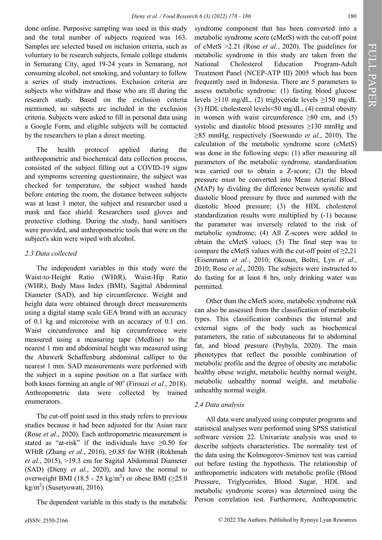done online. Purposive sampling was used in this study and the total number of subjects required was 163. Samples are selected based on inclusion criteria, such as voluntary to be research subjects, female college students in Semarang City, aged 19-24 years in Semarang, not consuming alcohol, not smoking, and voluntary to follow a series of study instructions. Exclusion criteria are subjects who withdraw and those who are ill during the research study. Based on the exclusion criteria mentioned, no subjects are included in the exclusion criteria. Subjects were asked to fill in personal data using a Google Form, and eligible subjects will be contacted by the researchers to plan a direct meeting.

The health protocol applied during the anthropometric and biochemical data collection process, consisted of the subject filling out a COVID-19 signs and symptoms screening questionnaire, the subject was checked for temperature, the subject washed hands before entering the room, the distance between subjects was at least 1 meter, the subject and researcher used a mask and face shield. Researchers used gloves and protective clothing. During the study, hand sanitisers were provided, and anthropometric tools that were on the subject's skin were wiped with alcohol.

## *2.3 Data collected*

The independent variables in this study were the Waist-to-Height Ratio (WHtR), Waist-Hip Ratio (WHR), Body Mass Index (BMI), Sagittal Abdominal Diameter (SAD), and hip circumference. Weight and height data were obtained through direct measurements using a digital stamp scale GEA brand with an accuracy of 0.1 kg and microtoise with an accuracy of 0.1 cm. Waist circumference and hip circumference were measured using a measuring tape (Medline) to the nearest 1 mm and abdominal height was measured using the Abawerk Schaffenburg abdominal calliper to the nearest 1 mm. SAD measurements were performed with the subject in a supine position on a flat surface with both knees forming an angle of 90° (Firouzi *et al.*, 2018). Anthropometric data were collected by trained enumerators.

The cut-off point used in this study refers to previous studies because it had been adjusted for the Asian race (Rose *et al.*, 2020). Each anthropometric measurement is stated as "at-risk" if the individuals have ≥0.50 for WHtR (Zhang *et al.*, 2016), ≥0.85 for WHR (Rokhmah *et al.*, 2015), >19.3 cm for Sagital Abdominal Diameter (SAD) (Dieny *et al.*, 2020), and have the normal to overweight BMI (18.5 - 25 kg/m<sup>2</sup>) or obese BMI ( $\geq$ 25.0  $\text{kg/m}^2$ ) (Susetyowati, 2016).

The dependent variable in this study is the metabolic

syndrome component that has been converted into a metabolic syndrome score (cMetS) with the cut-off point of cMetS >2.21 (Rose *et al.*, 2020). The guidelines for metabolic syndrome in this study are taken from the National Cholesterol Education Program-Adult Treatment Panel (NCEP-ATP III) 2005 which has been frequently used in Indonesia. There are 5 parameters to assess metabolic syndrome: (1) fasting blood glucose levels ≥110 mg/dL, (2) triglyceride levels ≥150 mg/dL (3) HDL cholesterol levels<50 mg/dL, (4) central obesity in women with waist circumference  $\geq 80$  cm, and (5) systolic and diastolic blood pressures ≥130 mmHg and ≥85 mmHg, respectively (Soewondo *et al.*, 2010). The calculation of the metabolic syndrome score (cMetS) was done in the following steps: (1) after measuring all parameters of the metabolic syndrome, standardisation was carried out to obtain a Z-score; (2) the blood pressure must be converted into Mean Arterial Blood (MAP) by dividing the difference between systolic and diastolic blood pressure by three and summed with the diastolic blood pressure; (3) the HDL cholesterol standardization results were multiplied by (-1) because the parameter was inversely related to the risk of metabolic syndrome; (4) All Z-scores were added to obtain the cMetS values; (5) The final step was to compare the cMetS values with the cut-off point of  $\geq 2.21$ (Eisenmann *et al.*, 2010; Okosun, Boltri, Lyn *et al.*, 2010; Rose *et al.*, 2020). The subjects were instructed to do fasting for at least 8 hrs, only drinking water was

Other than the cMetS score, metabolic syndrome risk can also be assessed from the classification of metabolic types. This classification combines the internal and external signs of the body such as biochemical parameters, the ratio of subcutaneous fat to abdominal fat, and blood pressure (Prybyla, 2020). The main phenotypes that reflect the possible combination of metabolic profile and the degree of obesity are metabolic healthy obese weight, metabolic healthy normal weight, metabolic unhealthy normal weight, and metabolic unhealthy normal weight.

## *2.4 Data analysis*

permitted.

All data were analyzed using computer programs and statistical analyses were performed using SPSS statistical software version 22. Univariate analysis was used to describe subjects characteristics. The normality test of the data using the Kolmogorov-Smirnov test was carried out before testing the hypothesis. The relationship of anthropometric indicators with metabolic profile (Blood Pressure, Triglycerides, Blood Sugar, HDL and metabolic syndrome scores) was determined using the Person correlation test. Furthermore, Anthropometric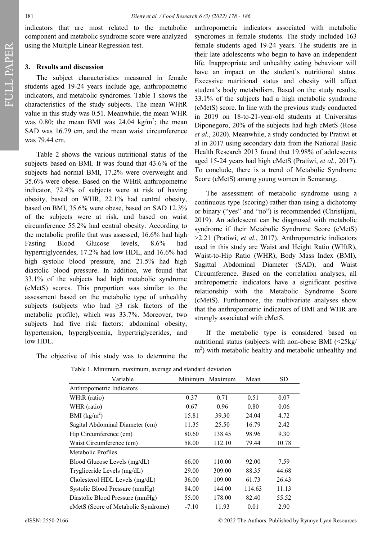indicators that are most related to the metabolic component and metabolic syndrome score were analyzed using the Multiple Linear Regression test.

## **3. Results and discussion**

The subject characteristics measured in female students aged 19-24 years include age, anthropometric indicators, and metabolic syndromes. Table 1 shows the characteristics of the study subjects. The mean WHtR value in this study was 0.51. Meanwhile, the mean WHR was 0.80; the mean BMI was 24.04  $\text{kg/m}^2$ ; the mean SAD was 16.79 cm, and the mean waist circumference was 79.44 cm.

Table 2 shows the various nutritional status of the subjects based on BMI. It was found that 43.6% of the subjects had normal BMI, 17.2% were overweight and 35.6% were obese. Based on the WHtR anthropometric indicator, 72.4% of subjects were at risk of having obesity, based on WHR, 22.1% had central obesity, based on BMI, 35.6% were obese, based on SAD 12.3% of the subjects were at risk, and based on waist circumference 55.2% had central obesity. According to the metabolic profile that was assessed, 16.6% had high Fasting Blood Glucose levels, 8.6% had hypertriglycerides, 17.2% had low HDL, and 16.6% had high systolic blood pressure, and 21.5% had high diastolic blood pressure. In addition, we found that 33.1% of the subjects had high metabolic syndrome (cMetS) scores. This proportion was similar to the assessment based on the metabolic type of unhealthy subjects (subjects who had  $\geq$ 3 risk factors of the metabolic profile), which was 33.7%. Moreover, two subjects had five risk factors: abdominal obesity, hypertension, hyperglycemia, hypertriglycerides, and low HDL.

anthropometric indicators associated with metabolic syndromes in female students. The study included 163 female students aged 19-24 years. The students are in their late adolescents who begin to have an independent life. Inappropriate and unhealthy eating behaviour will have an impact on the student's nutritional status. Excessive nutritional status and obesity will affect student's body metabolism. Based on the study results, 33.1% of the subjects had a high metabolic syndrome (cMetS) score. In line with the previous study conducted in 2019 on 18-to-21-year-old students at Universitas Diponegoro, 20% of the subjects had high cMetS (Rose *et al.*, 2020). Meanwhile, a study conducted by Pratiwi et al in 2017 using secondary data from the National Basic Health Research 2013 found that 19.98% of adolescents aged 15-24 years had high cMetS (Pratiwi, *et al*., 2017). To conclude, there is a trend of Metabolic Syndrome Score (cMetS) among young women in Semarang.

The assessment of metabolic syndrome using a continuous type (scoring) rather than using a dichotomy or binary ("yes" and "no") is recommended (Christijani, 2019). An adolescent can be diagnosed with metabolic syndrome if their Metabolic Syndrome Score (cMetS) >2.21 (Pratiwi, *et al.*, 2017). Anthropometric indicators used in this study are Waist and Height Ratio (WHtR), Waist-to-Hip Ratio (WHR), Body Mass Index (BMI), Sagittal Abdominal Diameter (SAD), and Waist Circumference. Based on the correlation analyses, all anthropometric indicators have a significant positive relationship with the Metabolic Syndrome Score (cMetS). Furthermore, the multivariate analyses show that the anthropometric indicators of BMI and WHR are strongly associated with cMetS.

If the metabolic type is considered based on nutritional status (subjects with non-obese BMI (<25kg/ m<sup>2</sup>) with metabolic healthy and metabolic unhealthy and

| Table 1. Minimum, maximum, average and standard deviation |         |                    |        |       |  |
|-----------------------------------------------------------|---------|--------------------|--------|-------|--|
| Variable                                                  |         | Maximum<br>Minimum |        | SD    |  |
| Anthropometric Indicators                                 |         |                    |        |       |  |
| WHtR (ratio)                                              | 0.37    | 0.71               | 0.51   | 0.07  |  |
| WHR (ratio)                                               | 0.67    | 0.96               | 0.80   | 0.06  |  |
| BMI $(kg/m^2)$                                            | 15.81   | 39.30              | 24.04  | 4.72  |  |
| Sagital Abdominal Diameter (cm)                           | 11.35   | 25.50              | 16.79  | 2.42  |  |
| Hip Circumference (cm)                                    | 80.60   | 138.45             | 98.96  | 9.30  |  |
| Waist Circumference (cm)                                  | 58.00   | 112.10             | 79.44  | 10.78 |  |
| Metabolic Profiles                                        |         |                    |        |       |  |
| Blood Glucose Levels (mg/dL)                              | 66.00   | 110.00             | 92.00  | 7.59  |  |
| Trygliceride Levels (mg/dL)                               | 29.00   | 309.00             | 88.35  | 44.68 |  |
| Cholesterol HDL Levels (mg/dL)                            | 36.00   | 109.00             | 61.73  | 26.43 |  |
| Systolic Blood Pressure (mmHg)                            | 84.00   | 144.00             | 114.63 | 11.13 |  |
| Diastolic Blood Pressure (mmHg)                           | 55.00   | 178.00             | 82.40  | 55.52 |  |
| cMetS (Score of Metabolic Syndrome)                       | $-7.10$ | 11.93              | 0.01   | 2.90  |  |

The objective of this study was to determine the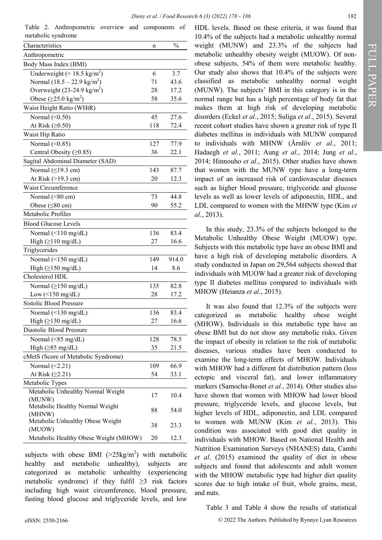Table 2. Anthropometric overview and components of metabolic syndrome

| Characteristics                                                  | n   | $\frac{0}{0}$ |
|------------------------------------------------------------------|-----|---------------|
| Anthropometric                                                   |     |               |
| Body Mass Index (BMI)                                            |     |               |
| Underweight (< 18.5 kg/m <sup>2</sup> )                          | 6   | 3.7           |
| Normal $(18.5 - 22.9 \text{ kg/m}^2)$                            | 71  | 43.6          |
| Overweight $(23-24.9 \text{ kg/m}^2)$                            | 28  | 17.2          |
| Obese $(\geq 25.0 \text{ kg/m}^2)$                               | 58  | 35.6          |
| Waist Height Ratio (WHtR)                                        |     |               |
| Normal $(\leq0.50)$                                              | 45  | 27.6          |
| At Risk $(≥0.50)$                                                | 118 | 72.4          |
| Waist Hip Ratio                                                  |     |               |
| Normal (<0.85)                                                   | 127 | 77.9          |
| Central Obesity (≥0.85)                                          | 36  | 22.1          |
| Sagital Abdominal Diameter (SAD)                                 |     |               |
| Normal $(≤19.3 cm)$                                              | 143 | 87.7          |
| At Risk (>19.3 cm)                                               | 20  | 12.3          |
| Waist Circumference                                              |     |               |
| Normal (<80 cm)                                                  | 73  | 44.8          |
| Obese (<80 cm)                                                   | 90  | 55.2          |
| Metabolic Profiles                                               |     |               |
| <b>Blood Glucose Levels</b>                                      |     |               |
| Normal (<110 mg/dL)                                              | 136 | 83.4          |
| High $(\geq 110 \text{ mg/dL})$                                  | 27  | 16.6          |
| Triglycerides                                                    |     |               |
| Normal (<150 mg/dL)                                              | 149 | 914.0         |
| High $(\geq 150 \text{ mg/dL})$                                  | 14  | 8.6           |
| Cholesterol HDL                                                  |     |               |
|                                                                  | 135 |               |
| Normal $(\geq 150 \text{ mg/dL})$                                |     | 82.8          |
| Low $(\leq 150 \text{ mg/dL})$<br><b>Sistolic Blood Pressure</b> | 28  | 17.2          |
|                                                                  |     |               |
| Normal $(\leq 130 \text{ mg/dL})$                                | 136 | 83.4          |
| High $(\geq 130 \text{ mg/dL})$                                  | 27  | 16.6          |
| Diastolic Blood Pressure                                         |     |               |
| Normal $(\leq 85 \text{ mg/dL})$                                 | 128 | 78.5          |
| High $(\geq 85 \text{ mg/dL})$                                   | 35  | 21.5          |
| cMetS (Score of Metabolic Syndrome)                              |     |               |
| Normal $(\leq2.21)$                                              | 109 | 66.9          |
| At Risk (≥2.21)                                                  | 54  | 33.1          |
| Metabolic Types                                                  |     |               |
| Metabolic Unhealthy Normal Weight                                | 17  | 10.4          |
| (MUNW)                                                           |     |               |
| Metabolic Healthy Normal Weight<br>(MHNW)                        | 88  | 54.0          |
| Metabolic Unhealthy Obese Weight                                 |     |               |
| (MUOW)                                                           | 38  | 23.3          |
| Metabolic Healthy Obese Weight (MHOW)                            | 20  | 12.3          |

subjects with obese BMI  $(>25 \text{kg/m}^2)$  with metabolic healthy and metabolic unhealthy), subjects are categorized as metabolic unhealthy (experiencing metabolic syndrome) if they fulfil  $\geq$ 3 risk factors including high waist circumference, blood pressure, fasting blood glucose and triglyceride levels, and low

HDL levels. Based on these criteria, it was found that 10.4% of the subjects had a metabolic unhealthy normal weight (MUNW) and 23.3% of the subjects had metabolic unhealthy obesity weight (MUOW). Of nonobese subjects, 54% of them were metabolic healthy. Our study also shows that 10.4% of the subjects were classified as metabolic unhealthy normal weight (MUNW). The subjects' BMI in this category is in the normal range but has a high percentage of body fat that makes them at high risk of developing metabolic disorders (Eckel *et al.*, 2015; Suliga *et al.*, 2015). Several recent cohort studies have shown a greater risk of type II diabetes mellitus in individuals with MUNW compared to individuals with MHNW (Ärnlöv *et al.*, 2011; Hadaegh *et al.*, 2011; Aung *et al.*, 2014; Jung *et al.*, 2014; Hinnouho *et al.*, 2015). Other studies have shown that women with the MUNW type have a long-term impact of an increased risk of cardiovascular diseases such as higher blood pressure, triglyceride and glucose levels as well as lower levels of adiponectin, HDL, and LDL compared to women with the MHNW type (Kim *et al.*, 2013).

In this study, 23.3% of the subjects belonged to the Metabolic Unhealthy Obese Weight (MUOW) type. Subjects with this metabolic type have an obese BMI and have a high risk of developing metabolic disorders. A study conducted in Japan on 29,564 subjects showed that individuals with MUOW had a greater risk of developing type II diabetes mellitus compared to individuals with MHOW (Heianza *et al.*, 2015).

It was also found that 12.3% of the subjects were categorized as metabolic healthy obese weight (MHOW). Individuals in this metabolic type have an obese BMI but do not show any metabolic risks. Given the impact of obesity in relation to the risk of metabolic diseases, various studies have been conducted to examine the long-term effects of MHOW. Individuals with MHOW had a different fat distribution pattern (less ectopic and visceral fat), and lower inflammatory markers (Samocha-Bonet *et al.*, 2014). Other studies also have shown that women with MHOW had lower blood pressure, triglyceride levels, and glucose levels, but higher levels of HDL, adiponectin, and LDL compared to women with MUNW (Kim *et al.*, 2013). This condition was associated with good diet quality in individuals with MHOW. Based on National Health and Nutrition Examination Surveys (NHANES) data, Camhi *et al*. (2015) examined the quality of diet in obese subjects and found that adolescents and adult women with the MHOW metabolic type had higher diet quality scores due to high intake of fruit, whole grains, meat, and nuts.

#### Table 3 and Table 4 show the results of statistical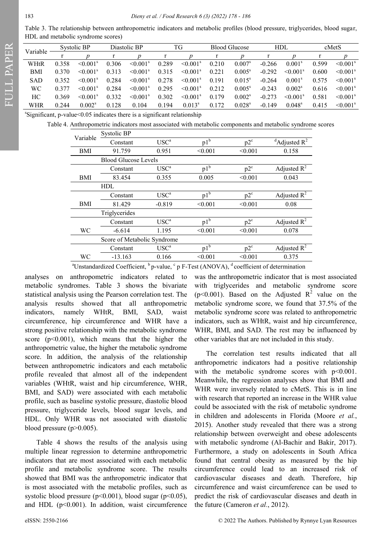Table 3. The relationship between anthropometric indicators and metabolic profiles (blood pressure, triglycerides, blood sugar, HDL and metabolic syndrome scores)

| Variable   | Systolic BP |                           | Diastolic BP |                      | TG    |                           | <b>Blood Glucose</b> |                 | <b>HDL</b> |                      | cMetS |                      |
|------------|-------------|---------------------------|--------------|----------------------|-------|---------------------------|----------------------|-----------------|------------|----------------------|-------|----------------------|
|            |             |                           |              |                      |       |                           |                      |                 |            |                      |       |                      |
| WHtR       | 0.358       | $\leq 0.001^{\rm s}$      | 0.306        | $\leq 0.001^{\rm s}$ | 0.289 | $\leq 0.001^s$            | 0.210                | $0.007^s$       | $-0.266$   | $0.001^{\rm s}$      | 0.599 | $\leq 0.001^s$       |
| BMI        | 0.370       | $\leq 0.001^s$            | 0.313        | $\leq 0.001^{\rm s}$ | 0.315 | $\leq 0.001^s$            | 0.221                | $0.005^{\rm s}$ | $-0.292$   | $\leq 0.001^{\rm s}$ | 0.600 | $\leq 0.001^s$       |
| <b>SAD</b> | 0.352       | $\leq 0.001^s$            | 0.284        | $\leq 0.001^s$       | 0.278 | $\leq 0.001^s$            | 0.191                | $0.015^{\rm s}$ | $-0.264$   | 0.001 <sup>s</sup>   | 0.575 | $\leq 0.001^s$       |
| WС         | 0.377       | $\leq 0.001$ <sup>s</sup> | 0.284        | $\leq 0.001^s$       | 0.295 | $\leq 0.001$ <sup>s</sup> | 0.212                | $0.005^{\rm s}$ | $-0.243$   | 0.002 <sup>s</sup>   | 0.616 | $\leq 0.001^s$       |
| HС         | 0.369       | $\leq 0.001^s$            | 0.332        | $\leq 0.001^s$       | 0.302 | $\leq 0.001^s$            | 0.179                | $0.002^s$       | $-0.273$   | $\leq 0.001^s$       | 0.581 | $\leq 0.001^{\rm s}$ |
| WHR        | 0.244       | $0.002^s$                 | 0.128        | 0.104                | 0.194 | $0.013^{s}$               | 0.172                | $0.028^{\rm s}$ | $-0.149$   | $0.048^{\rm s}$      | 0.415 | $\leq 0.001^s$       |

s Significant, p-value<0.05 indicates there is a significant relationship

Table 4. Anthropometric indicators most associated with metabolic components and metabolic syndrome scores

| Variable                    | Systolic BP                 |                  |         |         |                                        |  |  |
|-----------------------------|-----------------------------|------------------|---------|---------|----------------------------------------|--|--|
|                             | Constant                    | USC <sup>a</sup> | $p1^b$  | $p2^c$  | $\mathrm{d}^d$ Adjusted R <sup>2</sup> |  |  |
| BMI                         | 91.759                      | 0.951            | < 0.001 | < 0.001 | 0.158                                  |  |  |
|                             | <b>Blood Glucose Levels</b> |                  |         |         |                                        |  |  |
|                             | Constant                    | $USC^a$          | $p1^b$  | $p2^c$  | Adjusted $R^2$                         |  |  |
| BMI                         | 83.454                      | 0.355            | 0.005   | < 0.001 | 0.043                                  |  |  |
|                             | <b>HDL</b>                  |                  |         |         |                                        |  |  |
|                             | Constant                    | $USC^a$          | $p1^b$  | $p2^c$  | Adjusted $R^2$                         |  |  |
| BMI                         | 81.429                      | $-0.819$         | < 0.001 | < 0.001 | 0.08                                   |  |  |
|                             | Triglycerides               |                  |         |         |                                        |  |  |
|                             | Constant                    | $USC^a$          | $p1^b$  | $p2^c$  | Adjusted $\mathbb{R}^2$                |  |  |
| WC                          | $-6.614$                    | 1.195            | < 0.001 | < 0.001 | 0.078                                  |  |  |
| Score of Metabolic Syndrome |                             |                  |         |         |                                        |  |  |
|                             | Constant                    | USC <sup>a</sup> | $p1^b$  | $p2^c$  | Adjusted $R^2$                         |  |  |
| WС                          | $-13.163$                   | 0.166            | < 0.001 | < 0.001 | 0.375                                  |  |  |

<sup>a</sup>Unstandardized Coefficient,  $\frac{b}{p}$ -value,  $\frac{c}{p}$  F-Test (ANOVA),  $\frac{d}{q}$  coefficient of determination

analyses on anthropometric indicators related to metabolic syndromes. Table 3 shows the bivariate statistical analysis using the Pearson correlation test. The analysis results showed that all anthropometric indicators, namely WHtR, BMI, SAD, waist circumference, hip circumference and WHR have a strong positive relationship with the metabolic syndrome score  $(p<0.001)$ , which means that the higher the anthropometric value, the higher the metabolic syndrome score. In addition, the analysis of the relationship between anthropometric indicators and each metabolic profile revealed that almost all of the independent variables (WHtR, waist and hip circumference, WHR, BMI, and SAD) were associated with each metabolic profile, such as baseline systolic pressure, diastolic blood pressure, triglyceride levels, blood sugar levels, and HDL. Only WHR was not associated with diastolic blood pressure (p>0.005).

Table 4 shows the results of the analysis using multiple linear regression to determine anthropometric indicators that are most associated with each metabolic profile and metabolic syndrome score. The results showed that BMI was the anthropometric indicator that is most associated with the metabolic profiles, such as systolic blood pressure ( $p<0.001$ ), blood sugar ( $p<0.05$ ), and HDL ( $p<0.001$ ). In addition, waist circumference

was the anthropometric indicator that is most associated with triglycerides and metabolic syndrome score ( $p$ <0.001). Based on the Adjusted  $R^2$  value on the metabolic syndrome score, we found that 37.5% of the metabolic syndrome score was related to anthropometric indicators, such as WHtR, waist and hip circumference, WHR, BMI, and SAD. The rest may be influenced by other variables that are not included in this study.

The correlation test results indicated that all anthropometric indicators had a positive relationship with the metabolic syndrome scores with  $p<0.001$ . Meanwhile, the regression analyses show that BMI and WHR were inversely related to cMetS. This is in line with research that reported an increase in the WHR value could be associated with the risk of metabolic syndrome in children and adolescents in Florida (Moore *et al.*, 2015). Another study revealed that there was a strong relationship between overweight and obese adolescents with metabolic syndrome (Al-Bachir and Bakir, 2017). Furthermore, a study on adolescents in South Africa found that central obesity as measured by the hip circumference could lead to an increased risk of cardiovascular diseases and death. Therefore, hip circumference and waist circumference can be used to predict the risk of cardiovascular diseases and death in the future (Cameron *et al.*, 2012).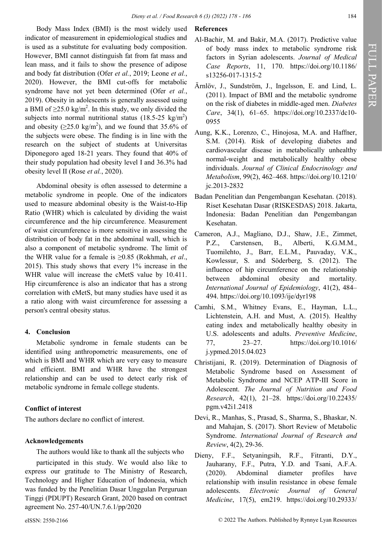Body Mass Index (BMI) is the most widely used indicator of measurement in epidemiological studies and is used as a substitute for evaluating body composition. However, BMI cannot distinguish fat from fat mass and lean mass, and it fails to show the presence of adipose and body fat distribution (Ofer *et al.*, 2019; Leone *et al.*, 2020). However, the BMI cut-offs for metabolic syndrome have not yet been determined (Ofer *et al.*, 2019). Obesity in adolescents is generally assessed using a BMI of  $\geq$ 25.0 kg/m<sup>2</sup>. In this study, we only divided the subjects into normal nutritional status  $(18.5\n-25 \text{ kg/m}^2)$ and obesity ( $\geq$ 25.0 kg/m<sup>2</sup>), and we found that 35.6% of the subjects were obese. The finding is in line with the research on the subject of students at Universitas Diponegoro aged 18-21 years. They found that 40% of their study population had obesity level I and 36.3% had obesity level II (Rose *et al.*, 2020).

Abdominal obesity is often assessed to determine a metabolic syndrome in people. One of the indicators used to measure abdominal obesity is the Waist-to-Hip Ratio (WHR) which is calculated by dividing the waist circumference and the hip circumference. Measurement of waist circumference is more sensitive in assessing the distribution of body fat in the abdominal wall, which is also a component of metabolic syndrome. The limit of the WHR value for a female is ≥0.85 (Rokhmah, *et al*., 2015). This study shows that every 1% increase in the WHR value will increase the cMetS value by 10.411. Hip circumference is also an indicator that has a strong correlation with cMetS, but many studies have used it as a ratio along with waist circumference for assessing a person's central obesity status.

# **4. Conclusion**

Metabolic syndrome in female students can be identified using anthropometric measurements, one of which is BMI and WHR which are very easy to measure and efficient. BMI and WHR have the strongest relationship and can be used to detect early risk of metabolic syndrome in female college students.

# **Conflict of interest**

The authors declare no conflict of interest.

# **Acknowledgements**

The authors would like to thank all the subjects who

participated in this study. We would also like to express our gratitude to The Ministry of Research, Technology and Higher Education of Indonesia, which was funded by the Penelitian Dasar Unggulan Perguruan Tinggi (PDUPT) Research Grant, 2020 based on contract agreement No. 257-40/UN.7.6.1/pp/2020

- Al-Bachir, M. and Bakir, M.A. (2017). Predictive value of body mass index to metabolic syndrome risk factors in Syrian adolescents. *Journal of Medical Case Reports*, 11, 170. https://doi.org/10.1186/ s13256-017-1315-2
- Ärnlöv, J., Sundström, J., Ingelsson, E. and Lind, L. (2011). Impact of BMI and the metabolic syndrome on the risk of diabetes in middle-aged men. *Diabetes Care*, 34(1), 61–65. https://doi.org/10.2337/dc10- 0955
- Aung, K.K., Lorenzo, C., Hinojosa, M.A. and Haffner, S.M. (2014). Risk of developing diabetes and cardiovascular disease in metabolically unhealthy normal-weight and metabolically healthy obese individuals. *Journal of Clinical Endocrinology and Metabolism*, 99(2), 462–468. https://doi.org/10.1210/ jc.2013-2832
- Badan Penelitian dan Pengembangan Kesehatan. (2018). Riset Kesehatan Dasar (RISKESDAS) 2018. Jakarta, Indonesia: Badan Penelitian dan Pengembangan Kesehatan.
- Cameron, A.J., Magliano, D.J., Shaw, J.E., Zimmet, P.Z., Carstensen, B., Alberti, K.G.M.M., Tuomilehto, J., Barr, E.L.M., Pauvaday, V.K., Kowlessur, S. and Söderberg, S. (2012). The influence of hip circumference on the relationship between abdominal obesity and mortality. *International Journal of Epidemiology*, 41(2), 484– 494. https://doi.org/10.1093/ije/dyr198
- Camhi, S.M., Whitney Evans, E., Hayman, L.L., Lichtenstein, A.H. and Must, A. (2015). Healthy eating index and metabolically healthy obesity in U.S. adolescents and adults. *Preventive Medicine*, 77, 23–27. https://doi.org/10.1016/ j.ypmed.2015.04.023
- Christijani, R. (2019). Determination of Diagnosis of Metabolic Syndrome based on Assessment of Metabolic Syndrome and NCEP ATP-III Score in Adolescent. *The Journal of Nutrition and Food Research*, 42(1), 21–28. https://doi.org/10.22435/ pgm.v42i1.2418
- Devi, R., Manhas, S., Prasad, S., Sharma, S., Bhaskar, N. and Mahajan, S. (2017). Short Review of Metabolic Syndrome. *International Journal of Research and Review*, 4(2), 29-36.
- Dieny, F.F., Setyaningsih, R.F., Fitranti, D.Y., Jauharany, F.F., Putra, Y.D. and Tsani, A.F.A. (2020). Abdominal diameter profiles have relationship with insulin resistance in obese female adolescents. *Electronic Journal of General Medicine*, 17(5), em219. https://doi.org/10.29333/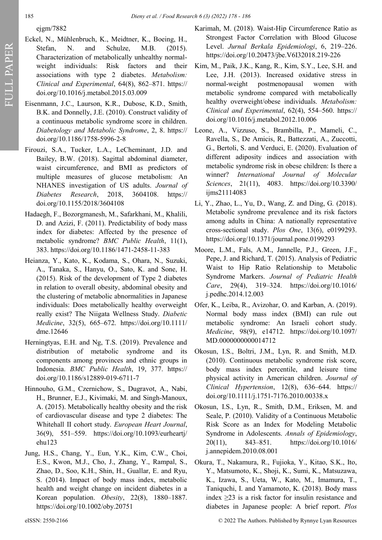ejgm/7882

- Eckel, N., Mühlenbruch, K., Meidtner, K., Boeing, H., Stefan, N. and Schulze, M.B. (2015). Characterization of metabolically unhealthy normalweight individuals: Risk factors and their associations with type 2 diabetes. *Metabolism: Clinical and Experimental*, 64(8), 862–871. https:// doi.org/10.1016/j.metabol.2015.03.009
- Eisenmann, J.C., Laurson, K.R., Dubose, K.D., Smith, B.K. and Donnelly, J.E. (2010). Construct validity of a continuous metabolic syndrome score in children. *Diabetology and Metabolic Syndrome*, 2, 8. https:// doi.org/10.1186/1758-5996-2-8
- Firouzi, S.A., Tucker, L.A., LeCheminant, J.D. and Bailey, B.W. (2018). Sagittal abdominal diameter, waist circumference, and BMI as predictors of multiple measures of glucose metabolism: An NHANES investigation of US adults. *Journal of Diabetes Research*, 2018, 3604108. https:// doi.org/10.1155/2018/3604108
- Hadaegh, F., Bozorgmanesh, M., Safarkhani, M., Khalili, D. and Azizi, F. (2011). Predictability of body mass index for diabetes: Affected by the presence of metabolic syndrome? *BMC Public Health*, 11(1), 383. https://doi.org/10.1186/1471-2458-11-383
- Heianza, Y., Kato, K., Kodama, S., Ohara, N., Suzuki, A., Tanaka, S., Hanyu, O., Sato, K. and Sone, H. (2015). Risk of the development of Type 2 diabetes in relation to overall obesity, abdominal obesity and the clustering of metabolic abnormalities in Japanese individuals: Does metabolically healthy overweight really exist? The Niigata Wellness Study. *Diabetic Medicine*, 32(5), 665–672. https://doi.org/10.1111/ dme.12646
- Herningtyas, E.H. and Ng, T.S. (2019). Prevalence and distribution of metabolic syndrome and its components among provinces and ethnic groups in Indonesia. *BMC Public Health*, 19, 377. https:// doi.org/10.1186/s12889-019-6711-7
- Hinnouho, G.M., Czernichow, S., Dugravot, A., Nabi, H., Brunner, E.J., Kivimaki, M. and Singh-Manoux, A. (2015). Metabolically healthy obesity and the risk of cardiovascular disease and type 2 diabetes: The Whitehall II cohort study. *European Heart Journal*, 36(9), 551–559. https://doi.org/10.1093/eurheartj/ ehu123
- Jung, H.S., Chang, Y., Eun, Y.K., Kim, C.W., Choi, E.S., Kwon, M.J., Cho, J., Zhang, Y., Rampal, S., Zhao, D., Soo, K.H., Shin, H., Guallar, E. and Ryu, S. (2014). Impact of body mass index, metabolic health and weight change on incident diabetes in a Korean population. *Obesity*, 22(8), 1880–1887. https://doi.org/10.1002/oby.20751
- Karimah, M. (2018). Waist-Hip Circumference Ratio as Strongest Factor Correlation with Blood Glucose Level. *Jurnal Berkala Epidemiologi*, 6, 219–226. https://doi.org/10.20473/jbe.V6I32018.219-226
- Kim, M., Paik, J.K., Kang, R., Kim, S.Y., Lee, S.H. and Lee, J.H. (2013). Increased oxidative stress in normal-weight postmenopausal women with metabolic syndrome compared with metabolically healthy overweight/obese individuals. *Metabolism: Clinical and Experimental*, 62(4), 554–560. https:// doi.org/10.1016/j.metabol.2012.10.006
- Leone, A., Vizzuso, S., Brambilla, P., Mameli, C., Ravella, S., De Amicis, R., Battezzati, A., Zuccotti, G., Bertoli, S. and Verduci, E. (2020). Evaluation of different adiposity indices and association with metabolic syndrome risk in obese children: Is there a winner? *International Journal of Molecular Sciences*, 21(11), 4083. https://doi.org/10.3390/ ijms21114083
- Li, Y., Zhao, L., Yu, D., Wang, Z. and Ding, G*.* (2018). Metabolic syndrome prevalence and its risk factors among adults in China: A nationally representative cross-sectional study. *Plos One*, 13(6), e0199293. https://doi.org/10.1371/journal.pone.0199293
- Moore, L.M., Fals, A.M., Jannelle, P.J., Green, J.F., Pepe, J. and Richard, T*.* (2015). Analysis of Pediatric Waist to Hip Ratio Relationship to Metabolic Syndrome Markers. *Journal of Pediatric Health Care*, 29(4), 319–324. https://doi.org/10.1016/ j.pedhc.2014.12.003
- Ofer, K., Leiba, R., Avizohar, O. and Karban, A. (2019). Normal body mass index (BMI) can rule out metabolic syndrome: An Israeli cohort study. *Medicine*, 98(9), e14712. https://doi.org/10.1097/ MD.0000000000014712
- Okosun, I.S., Boltri, J.M., Lyn, R. and Smith, M.D*.* (2010). Continuous metabolic syndrome risk score, body mass index percentile, and leisure time physical activity in American children. *Journal of Clinical Hypertension*, 12(8), 636–644. https:// doi.org/10.1111/j.1751-7176.2010.00338.x
- Okosun, I.S., Lyn, R., Smith, D.M., Eriksen, M. and Seale, P*.* (2010). Validity of a Continuous Metabolic Risk Score as an Index for Modeling Metabolic Syndrome in Adolescents. *Annals of Epidemiology*, 20(11), 843–851. https://doi.org/10.1016/ j.annepidem.2010.08.001
- Okura, T., Nakamura, R., Fujioka, Y., Kitao, S.K., Ito, Y., Matsumoto, K., Shoji, K., Sumi, K., Matsuzawa, K., Izawa, S., Ueta, W., Kato, M., Imamura, T., Taniquchi, I. and Yamamoto, K. (2018). Body mass index  $\geq$ 23 is a risk factor for insulin resistance and diabetes in Japanese people: A brief report. *Plos*

eISSN: 2550-2166 © 2022 The Authors. Published by Rynnye Lyan Resources